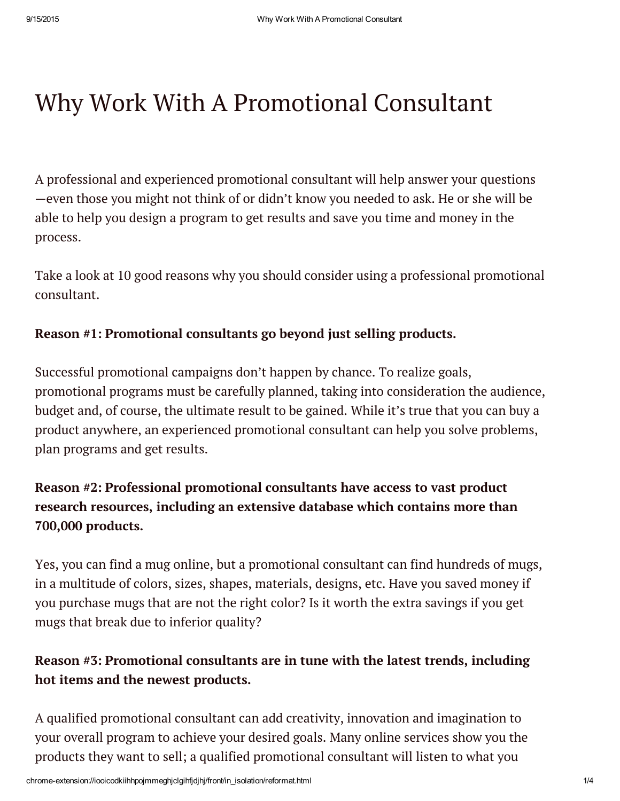# Why Work With A Promotional Consultant

A professional and experienced promotional consultant will help answer your questions —even those you might not think of or didn't know you needed to ask. He or she will be able to help you design a program to get results and save you time and money in the process.

Take a look at 10 good reasons why you should consider using a professional promotional consultant.

### Reason #1: Promotional consultants go beyond just selling products.

Successful promotional campaigns don't happen by chance. To realize goals, promotional programs must be carefully planned, taking into consideration the audience, budget and, of course, the ultimate result to be gained. While it's true that you can buy a product anywhere, an experienced promotional consultant can help you solve problems, plan programs and get results.

# Reason #2: Professional promotional consultants have access to vast product research resources, including an extensive database which contains more than 700,000 products.

Yes, you can find a mug online, but a promotional consultant can find hundreds of mugs, in a multitude of colors, sizes, shapes, materials, designs, etc. Have you saved money if you purchase mugs that are not the right color? Is it worth the extra savings if you get mugs that break due to inferior quality?

## Reason #3: Promotional consultants are in tune with the latest trends, including hot items and the newest products.

A qualified promotional consultant can add creativity, innovation and imagination to your overall program to achieve your desired goals. Many online services show you the products they want to sell; a qualified promotional consultant will listen to what you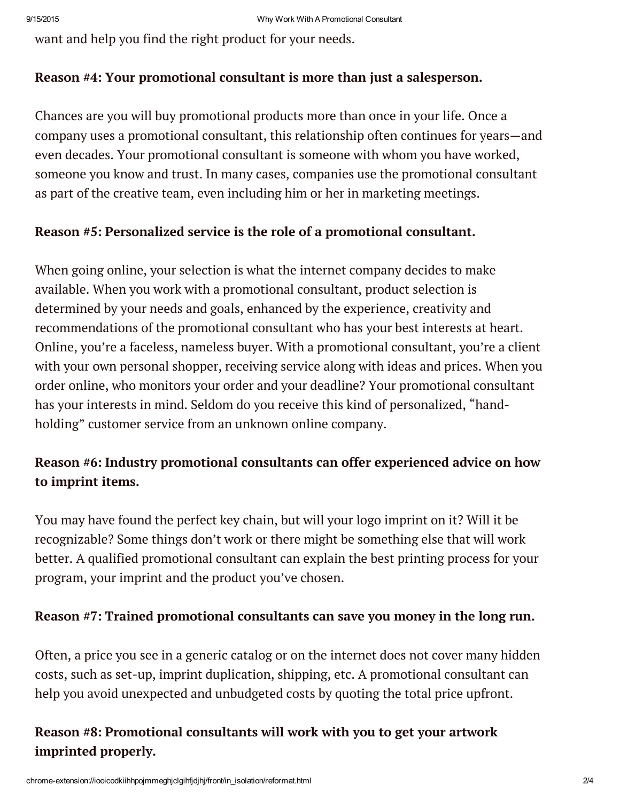want and help you find the right product for your needs.

#### Reason #4: Your promotional consultant is more than just a salesperson.

Chances are you will buy promotional products more than once in your life. Once a company uses a promotional consultant, this relationship often continues for years—and even decades. Your promotional consultant is someone with whom you have worked, someone you know and trust. In many cases, companies use the promotional consultant as part of the creative team, even including him or her in marketing meetings.

#### Reason #5: Personalized service is the role of a promotional consultant.

When going online, your selection is what the internet company decides to make available. When you work with a promotional consultant, product selection is determined by your needs and goals, enhanced by the experience, creativity and recommendations of the promotional consultant who has your best interests at heart. Online, you're a faceless, nameless buyer. With a promotional consultant, you're a client with your own personal shopper, receiving service along with ideas and prices. When you order online, who monitors your order and your deadline? Your promotional consultant has your interests in mind. Seldom do you receive this kind of personalized, "handholding" customer service from an unknown online company.

## Reason #6: Industry promotional consultants can offer experienced advice on how to imprint items.

You may have found the perfect key chain, but will your logo imprint on it? Will it be recognizable? Some things don't work or there might be something else that will work better. A qualified promotional consultant can explain the best printing process for your program, your imprint and the product you've chosen.

#### Reason #7: Trained promotional consultants can save you money in the long run.

Often, a price you see in a generic catalog or on the internet does not cover many hidden costs, such as set-up, imprint duplication, shipping, etc. A promotional consultant can help you avoid unexpected and unbudgeted costs by quoting the total price upfront.

## Reason #8: Promotional consultants will work with you to get your artwork imprinted properly.